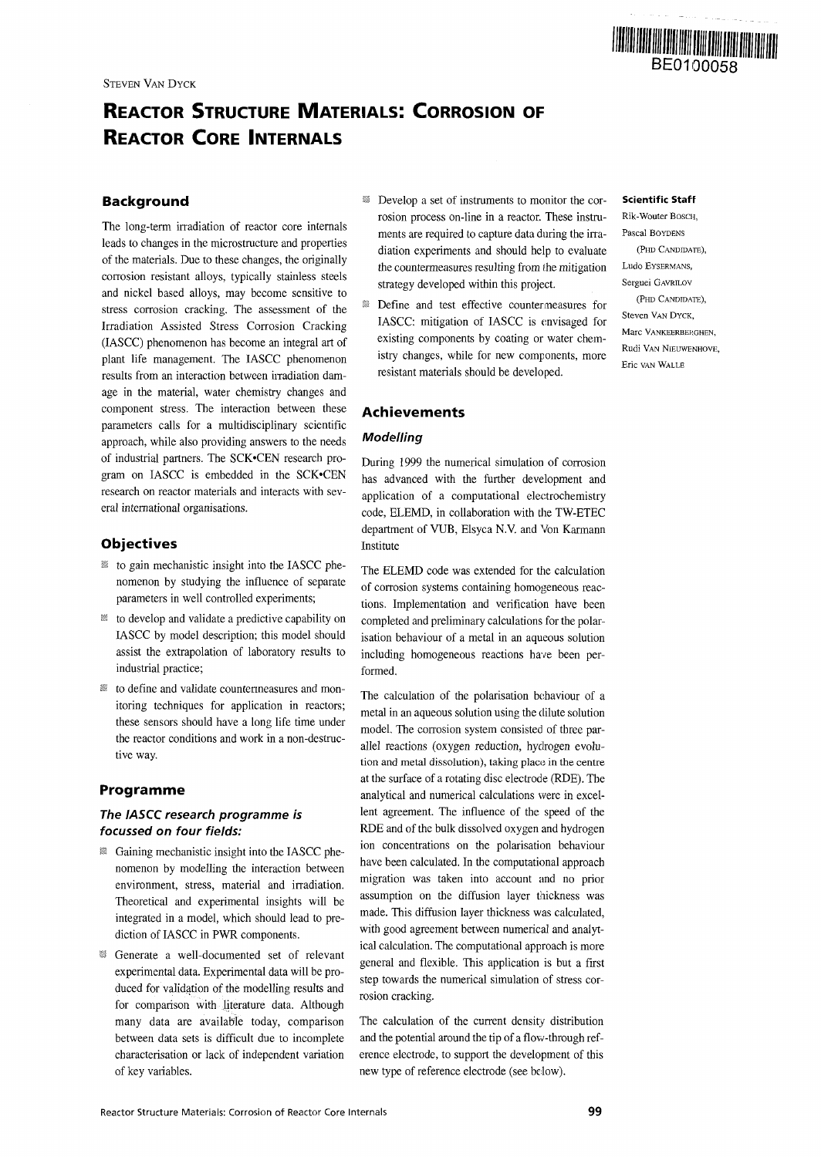

# **REACTOR STRUCTURE MATERIALS: CORROSION OF REACTOR CORE INTERNALS**

# **Background**

The long-term irradiation of reactor core internals leads to changes in the microstructure and properties of the materials. Due to these changes, the originally corrosion resistant alloys, typically stainless steels and nickel based alloys, may become sensitive to stress corrosion cracking. The assessment of the Irradiation Assisted Stress Corrosion Cracking (IASCC) phenomenon has become an integral art of plant life management. The IASCC phenomenon results from an interaction between irradiation damage in the material, water chemistry changes and component stress. The interaction between these parameters calls for a multidisciplinary scientific approach, while also providing answers to the needs of industrial partners. The SCK'CEN research program on IASCC is embedded in the SCK'CEN research on reactor materials and interacts with several international organisations.

# **Objectives**

- $\mathbb{B}$  to gain mechanistic insight into the IASCC phenomenon by studying the influence of separate parameters in well controlled experiments;
- ?s to develop and validate a predictive capability on IASCC by model description; this model should assist the extrapolation of laboratory results to industrial practice;
- *! ss* to define and validate countermeasures and monitoring techniques for application in reactors; these sensors should have a long life time under the reactor conditions and work in a non-destructive way.

# **Programme**

# The IASCC research programme is focussed on four fields:

- $\mathbb B$  Gaining mechanistic insight into the IASCC phenomenon by modelling the interaction between environment, stress, material and irradiation. Theoretical and experimental insights will be integrated in a model, which should lead to prediction of IASCC in PWR components.
- Generate a well-documented set of relevant experimental data. Experimental data will be produced for validation of the modelling results and for comparison with literature data. Although many data are available today, comparison between data sets is difficult due to incomplete characterisation or lack of independent variation of key variables.
- **B** Develop a set of instruments to monitor the corrosion process on-line in a reactor. These instruments are required to capture data during the irradiation experiments and should help to evaluate the countermeasures resulting from the mitigation strategy developed within this project.
- $\blacksquare$  Define and test effective countermeasures for IASCC: mitigation of IASCC is envisaged for existing components by coating or water chemistry changes, while for new components, more resistant materials should be developed.

# **Achievements**

# **Modelling**

During 1999 the numerical simulation of corrosion has advanced with the further development and application of a computational electrochemistry code, ELEMD, in collaboration with the TW-ETEC department of VUB, Elsyca N.V. and Von Karmann Institute

The ELEMD code was extended for the calculation of corrosion systems containing homogeneous reactions. Implementation and verification have been completed and preliminary calculations for the polarisation behaviour of a metal in an aqueous solution including homogeneous reactions have been performed.

The calculation of the polarisation behaviour of a metal in an aqueous solution using the dilute solution model. The corrosion system consisted of three parallel reactions (oxygen reduction, hydrogen evolution and metal dissolution), taking place in the centre at the surface of a rotating disc electrode (RDE). The analytical and numerical calculations were in excellent agreement. The influence of the speed of the RDE and of the bulk dissolved oxygen and hydrogen ion concentrations on the polarisation behaviour have been calculated. In the computational approach migration was taken into account and no prior assumption on the diffusion layer thickness was made. This diffusion layer thickness was calculated, with good agreement between numerical and analytical calculation. The computational approach is more general and flexible. This application is but a first step towards the numerical simulation of stress corrosion cracking.

The calculation of the current density distribution and the potential around the tip of a flow-through reference electrode, to support the development of this new type of reference electrode (see below).

# **Scientific StafF**

Rik-Wouter BOSCH, Pascal BOYDENS (PHD CANDIDATE), Ludo EYSERMANS, Serguei GAVRILOV (PHD CANDIDATE), Steven VAN DYCK, Marc VANKEERBERGHEN, Rudi VAN NIEUWENHOVE, Eric van Wall R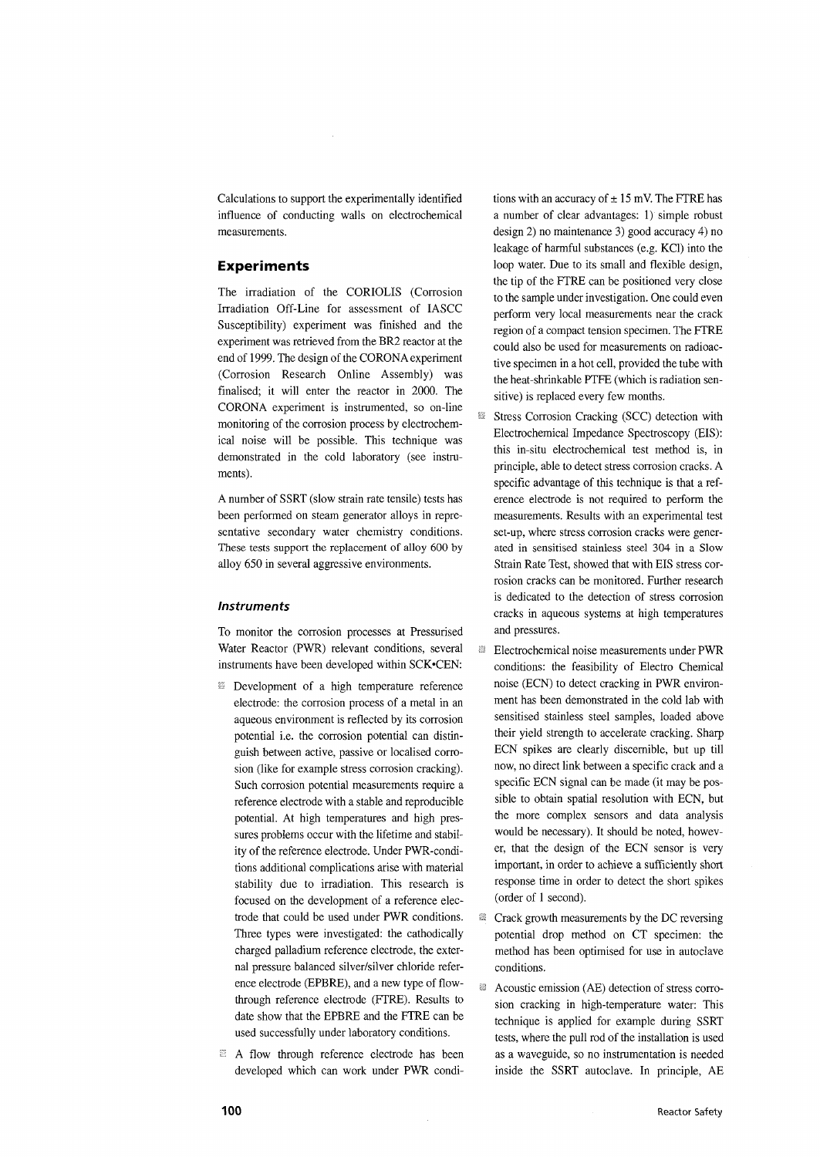Calculations to support the experimentally identified influence of conducting walls on electrochemical measurements.

# **Experiments**

The irradiation of the CORIOLIS (Corrosion Irradiation Off-Line for assessment of IASCC Susceptibility) experiment was finished and the experiment was retrieved from the BR2 reactor at the end of 1999. The design of the CORONA experiment (Corrosion Research Online Assembly) was finalised; it will enter the reactor in 2000. The CORONA experiment is instrumented, so on-line monitoring of the corrosion process by electrochemical noise will be possible. This technique was demonstrated in the cold laboratory (see instruments).

A number of SSRT (slow strain rate tensile) tests has been performed on steam generator alloys in representative secondary water chemistry conditions. These tests support the replacement of alloy 600 by alloy 650 in several aggressive environments.

#### **Instruments**

To monitor the corrosion processes at Pressurised Water Reactor (PWR) relevant conditions, several instruments have been developed within SCK.CEN:

- **EX** Development of a high temperature reference electrode: the corrosion process of a metal in an aqueous environment is reflected by its corrosion potential i.e. the corrosion potential can distinguish between active, passive or localised corrosion (like for example stress corrosion cracking). Such corrosion potential measurements require a reference electrode with a stable and reproducible potential. At high temperatures and high pressures problems occur with the lifetime and stability of the reference electrode. Under PWR-conditions additional complications arise with material stability due to irradiation. This research is focused on the development of a reference electrode that could be used under PWR conditions. Three types were investigated: the cathodically charged palladium reference electrode, the external pressure balanced silver/silver chloride reference electrode (EPBRE), and a new type of flowthrough reference electrode (FTRE). Results to date show that the EPBRE and the FTRE can be used successfully under laboratory conditions.
- <sup>23</sup> A flow through reference electrode has been developed which can work under PWR condi-

tions with an accuracy of  $\pm$  15 mV. The FTRE has a number of clear advantages: 1) simple robust design 2) no maintenance 3) good accuracy 4) no leakage of harmful substances (e.g. KC1) into the loop water. Due to its small and flexible design, the tip of the FTRE can be positioned very close to the sample under investigation. One could even perform very local measurements near the crack region of a compact tension specimen. The FTRE could also be used for measurements on radioactive specimen in a hot cell, provided the tube with the heat-shrinkable PTFE (which is radiation sensitive) is replaced every few months.

- 83 Stress Corrosion Cracking (SCC) detection with Electrochemical Impedance Spectroscopy (EIS): this in-situ electrochemical test method is, in principle, able to detect stress corrosion cracks. A specific advantage of this technique is that a reference electrode is not required to perform the measurements. Results with an experimental test set-up, where stress corrosion cracks were generated in sensitised stainless steel 304 in a Slow Strain Rate Test, showed that with EIS stress corrosion cracks can be monitored. Further research is dedicated to the detection of stress corrosion cracks in aqueous systems at high temperatures and pressures.
- ø Electrochemical noise measurements under PWR conditions: the feasibility of Electro Chemical noise (ECN) to detect cracking in PWR environment has been demonstrated in the cold lab with sensitised stainless steel samples, loaded above their yield strength to accelerate cracking. Sharp ECN spikes are clearly discernible, but up till now, no direct link between a specific crack and a specific ECN signal can be made (it may be possible to obtain spatial resolution with ECN, but the more complex sensors and data analysis would be necessary). It should be noted, however, that the design of the ECN sensor is very important, in order to achieve a sufficiently short response time in order to detect the short spikes (order of 1 second).
- 鬣 Crack growth measurements by the DC reversing potential drop method on CT specimen: the method has been optimised for use in autoclave conditions.
- 鎖 Acoustic emission (AE) detection of stress corrosion cracking in high-temperature water: This technique is applied for example during SSRT tests, where the pull rod of the installation is used as a waveguide, so no instrumentation is needed inside the SSRT autoclave. In principle, AE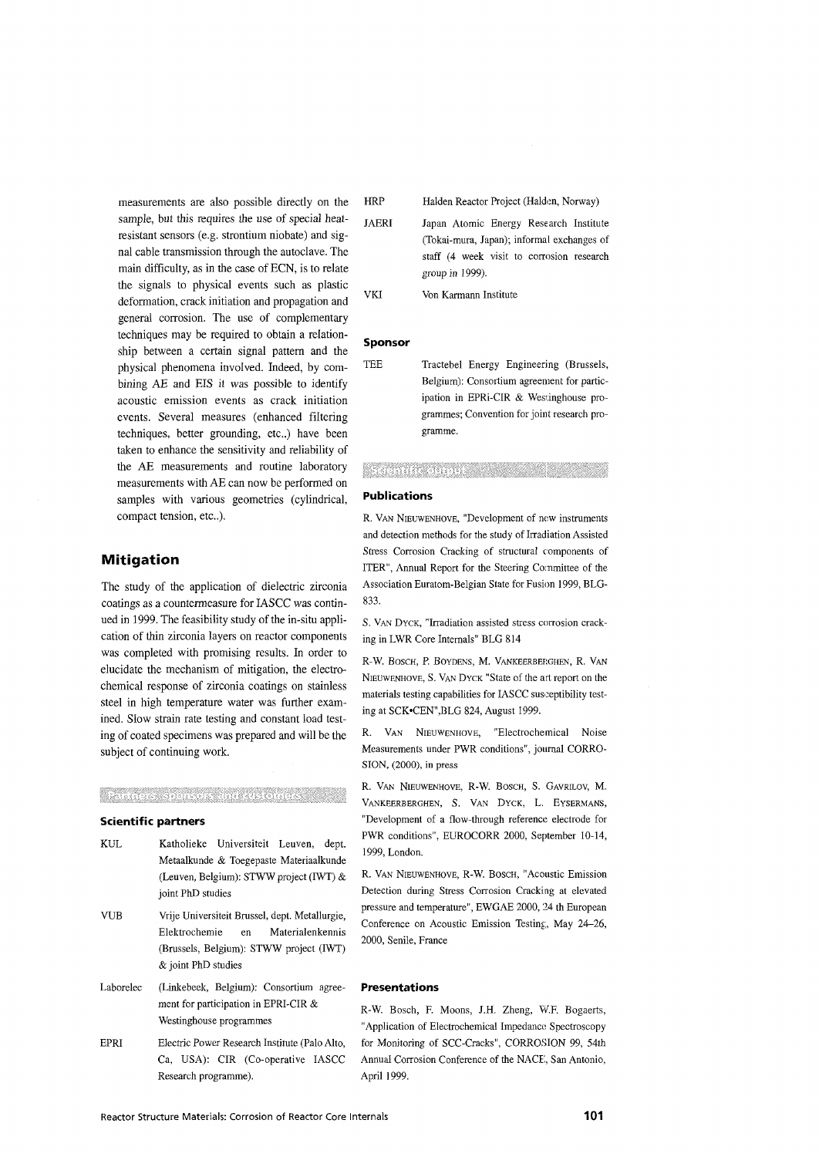measurements are also possible directly on the sample, but this requires the use of special heatresistant sensors (e.g. strontium niobate) and signal cable transmission through the autoclave. The main difficulty, as in the case of ECN, is to relate the signals to physical events such as plastic deformation, crack initiation and propagation and general corrosion. The use of complementary techniques may be required to obtain a relationship between a certain signal pattern and the physical phenomena involved. Indeed, by combining AE and EIS it was possible to identify acoustic emission events as crack initiation events. Several measures (enhanced filtering techniques, better grounding, etc..) have been taken to enhance the sensitivity and reliability of the AE measurements and routine laboratory measurements with AE can now be performed on samples with various geometries (cylindrical, compact tension, etc.).

# **Mitigation**

The study of the application of dielectric zirconia coatings as a countermeasure for IASCC was continued in 1999. The feasibility study of the in-situ application of thin zirconia layers on reactor components was completed with promising results. In order to elucidate the mechanism of mitigation, the electrochemical response of zirconia coatings on stainless steel in high temperature water was further examined. Slow strain rate testing and constant load testing of coated specimens was prepared and will be the subject of continuing work.

# Stehnes son via thu manual

#### **Scientific partners**

- KUL Katholieke Universiteit Leuven, dept. Metaalkunde & Toegepaste Materiaalkunde (Leuven, Belgium): STWW project (IWT) & joint PhD studies
- VUB Vrije Universiteit Brussel, dept. Metallurgie, Elektrochemie en Materialenkennis (Brussels, Belgium): STWW project (IWT) & joint PhD studies
- Laborelec (Linkebeek, Belgium): Consortium agreement for participation in EPRI-CIR & Westinghouse programmes
- EPRI Electric Power Research Institute (Palo Alto, Ca, USA): CIR (Co-operative IASCC Research programme).

HRP Halden Reactor Project (Halden, Norway)

- JAERI Japan Atomic Energy Research Institute (Tokai-mura, Japan); informal exchanges of staff (4 week visit to corrosion research group in 1999).
- VKI Von Karmann Institute

#### **Sponsor**

TEE Tractebel Energy Engineering (Brussels, Belgium): Consortium agreement for participation in EPRi-CIR & Westinghouse programmes; Convention for joint research programme.

#### Sechnite engine and a

#### **Publications**

R. VAN NIEUWENHOVE, "Development of new instruments and detection methods for the study of Irradiation Assisted Stress Corrosion Cracking of structural components of ITER", Annual Report for the Steering Committee of the Association Euratom-Belgian State for Fusion 1999, BLG-833.

S. VAN DYCK, "Irradiation assisted stress corrosion cracking in LWR Core Internals" BLG 814

R-W. BOSCH, P. BOYDENS, M. VANKEERBERGHEN, R. VAN NIEUWENHOVE, S. VAN DYCK "State of the art report on the materials testing capabilities for IASCC susceptibility testing at SCK-CEN",BLG 824, August 1999.

R. VAN NIEUWENHOVE, "Electrochemical Noise Measurements under PWR conditions", journal CORRO-SION, (2000), in press

R. VAN NIEUWENHOVE, R-W. BOSCH, S. GAVRILOV, M. VANKEERBERGHEN, S. VAN DYCK, L. EYSERMANS, "Development of a flow-through reference electrode for PWR conditions", EUROCORR 2000, September 10-14, 1999, London.

R. VAN NIEUWENHOVE, R-W. BOSCH, "Acoustic Emission Detection during Stress Corrosion Cracking at elevated pressure and temperature", EWGAE 2000, 24 th European Conference on Acoustic Emission Testing, May 24—26, 2000, Senile, France

#### **Presentations**

R-W. Bosch, F. Moons, J.H. Zheng, W.F. Bogaerts, "Application of Electrochemical Impedance Spectroscopy for Monitoring of SCC-Cracks", CORROSION 99, 54th Annual Corrosion Conference of the NACE, San Antonio, April 1999.